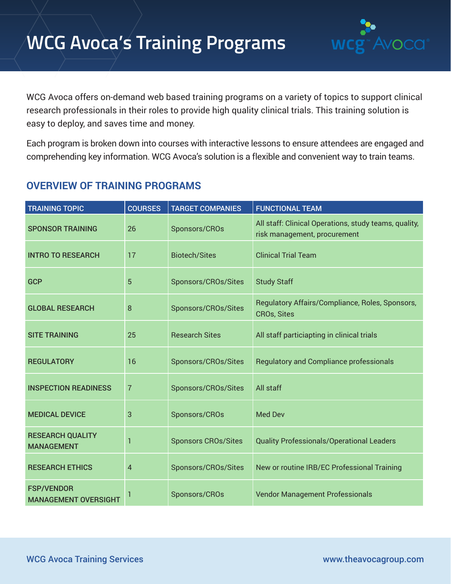# **WCG Avoca's Training Programs** WCg<sup>-</sup>Avoca



WCG Avoca offers on-demand web based training programs on a variety of topics to support clinical research professionals in their roles to provide high quality clinical trials. This training solution is easy to deploy, and saves time and money.

Each program is broken down into courses with interactive lessons to ensure attendees are engaged and comprehending key information. WCG Avoca's solution is a flexible and convenient way to train teams.

## **OVERVIEW OF TRAINING PROGRAMS**

| <b>TRAINING TOPIC</b>                            | <b>COURSES</b> | <b>TARGET COMPANIES</b>    | <b>FUNCTIONAL TEAM</b>                                                                |
|--------------------------------------------------|----------------|----------------------------|---------------------------------------------------------------------------------------|
| <b>SPONSOR TRAINING</b>                          | 26             | Sponsors/CROs              | All staff: Clinical Operations, study teams, quality,<br>risk management, procurement |
| <b>INTRO TO RESEARCH</b>                         | 17             | <b>Biotech/Sites</b>       | <b>Clinical Trial Team</b>                                                            |
| <b>GCP</b>                                       | 5              | Sponsors/CROs/Sites        | <b>Study Staff</b>                                                                    |
| <b>GLOBAL RESEARCH</b>                           | 8              | Sponsors/CROs/Sites        | Regulatory Affairs/Compliance, Roles, Sponsors,<br><b>CROs, Sites</b>                 |
| <b>SITE TRAINING</b>                             | 25             | <b>Research Sites</b>      | All staff particiapting in clinical trials                                            |
| <b>REGULATORY</b>                                | 16             | Sponsors/CROs/Sites        | <b>Regulatory and Compliance professionals</b>                                        |
| <b>INSPECTION READINESS</b>                      | $\overline{7}$ | Sponsors/CROs/Sites        | All staff                                                                             |
| <b>MEDICAL DEVICE</b>                            | 3              | Sponsors/CROs              | <b>Med Dev</b>                                                                        |
| <b>RESEARCH QUALITY</b><br><b>MANAGEMENT</b>     |                | <b>Sponsors CROs/Sites</b> | <b>Quality Professionals/Operational Leaders</b>                                      |
| <b>RESEARCH ETHICS</b>                           | 4              | Sponsors/CROs/Sites        | New or routine IRB/EC Professional Training                                           |
| <b>FSP/VENDOR</b><br><b>MANAGEMENT OVERSIGHT</b> | 1              | Sponsors/CROs              | <b>Vendor Management Professionals</b>                                                |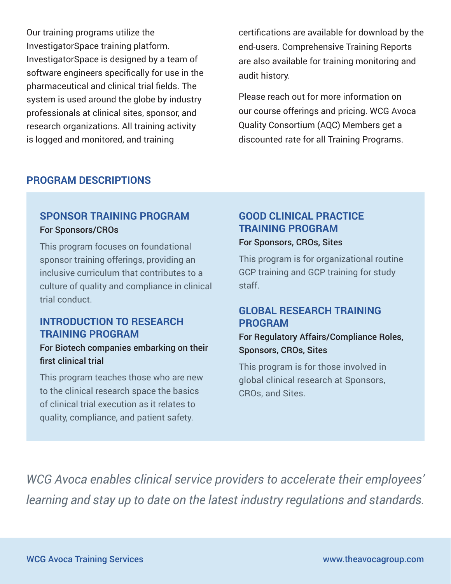Our training programs utilize the InvestigatorSpace training platform. InvestigatorSpace is designed by a team of software engineers specifically for use in the pharmaceutical and clinical trial fields. The system is used around the globe by industry professionals at clinical sites, sponsor, and research organizations. All training activity is logged and monitored, and training

certifications are available for download by the end-users. Comprehensive Training Reports are also available for training monitoring and audit history.

Please reach out for more information on our course offerings and pricing. WCG Avoca Quality Consortium (AQC) Members get a discounted rate for all Training Programs.

#### **PROGRAM DESCRIPTIONS**

#### **SPONSOR TRAINING PROGRAM** For Sponsors/CROs

This program focuses on foundational sponsor training offerings, providing an inclusive curriculum that contributes to a culture of quality and compliance in clinical trial conduct.

#### **INTRODUCTION TO RESEARCH TRAINING PROGRAM**

#### For Biotech companies embarking on their first clinical trial

This program teaches those who are new to the clinical research space the basics of clinical trial execution as it relates to quality, compliance, and patient safety.

## **GOOD CLINICAL PRACTICE TRAINING PROGRAM**

#### For Sponsors, CROs, Sites

This program is for organizational routine GCP training and GCP training for study staff.

#### **GLOBAL RESEARCH TRAINING PROGRAM**

#### For Regulatory Affairs/Compliance Roles, Sponsors, CROs, Sites

This program is for those involved in global clinical research at Sponsors, CROs, and Sites.

*WCG Avoca enables clinical service providers to accelerate their employees' learning and stay up to date on the latest industry regulations and standards.*